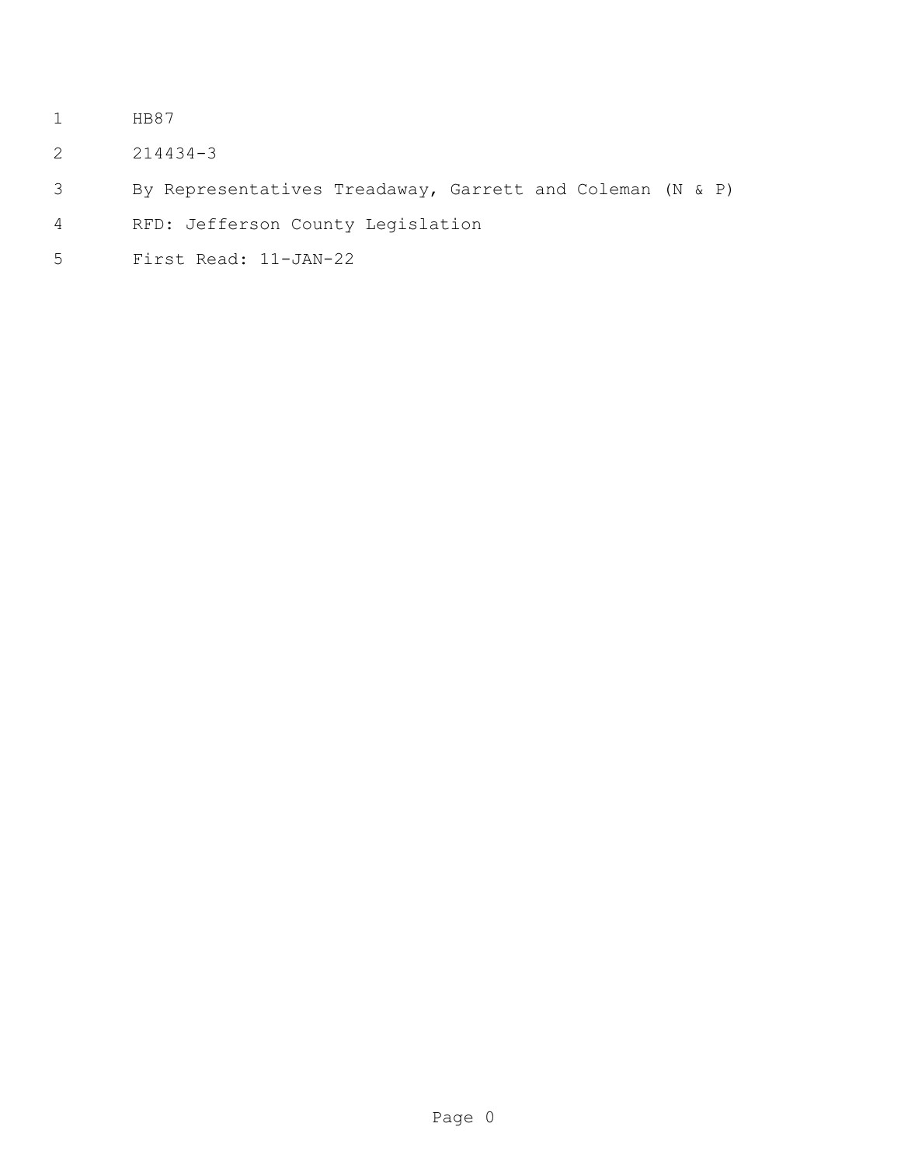- HB87
- 214434-3
- By Representatives Treadaway, Garrett and Coleman (N & P)
- RFD: Jefferson County Legislation
- First Read: 11-JAN-22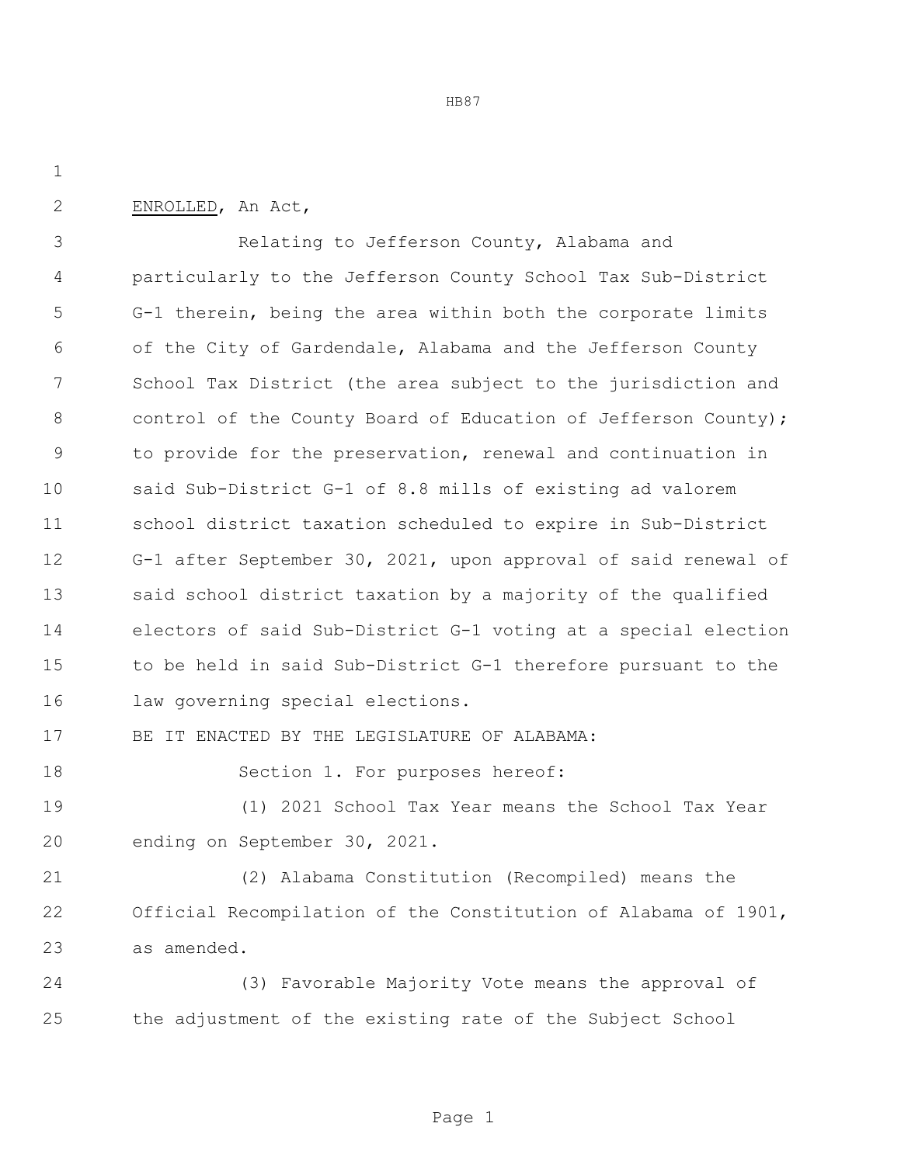HB87

ENROLLED, An Act,

 Relating to Jefferson County, Alabama and particularly to the Jefferson County School Tax Sub-District G-1 therein, being the area within both the corporate limits of the City of Gardendale, Alabama and the Jefferson County School Tax District (the area subject to the jurisdiction and 8 control of the County Board of Education of Jefferson County); to provide for the preservation, renewal and continuation in said Sub-District G-1 of 8.8 mills of existing ad valorem school district taxation scheduled to expire in Sub-District G-1 after September 30, 2021, upon approval of said renewal of said school district taxation by a majority of the qualified electors of said Sub-District G-1 voting at a special election to be held in said Sub-District G-1 therefore pursuant to the law governing special elections.

BE IT ENACTED BY THE LEGISLATURE OF ALABAMA:

18 Section 1. For purposes hereof:

 (1) 2021 School Tax Year means the School Tax Year ending on September 30, 2021.

 (2) Alabama Constitution (Recompiled) means the Official Recompilation of the Constitution of Alabama of 1901, as amended.

 (3) Favorable Majority Vote means the approval of the adjustment of the existing rate of the Subject School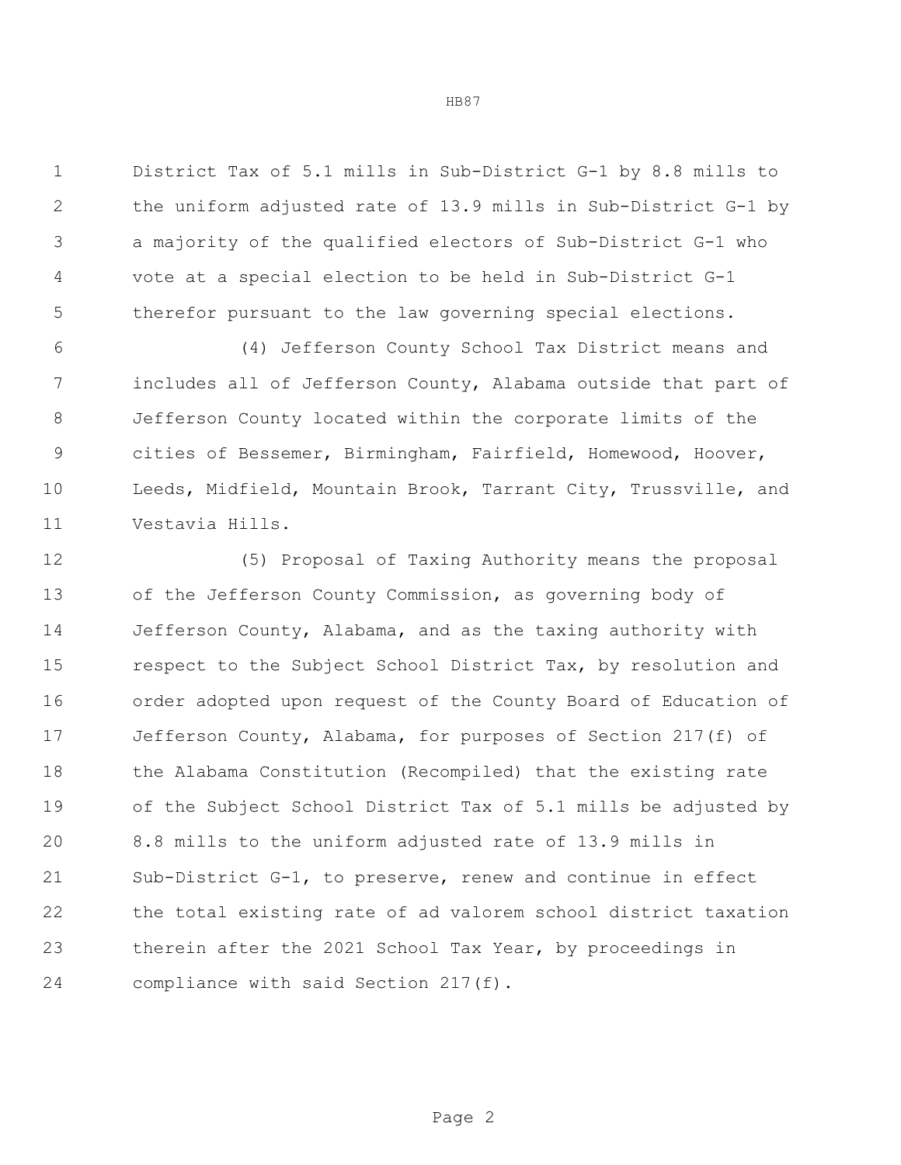District Tax of 5.1 mills in Sub-District G-1 by 8.8 mills to the uniform adjusted rate of 13.9 mills in Sub-District G-1 by a majority of the qualified electors of Sub-District G-1 who vote at a special election to be held in Sub-District G-1 therefor pursuant to the law governing special elections.

 (4) Jefferson County School Tax District means and includes all of Jefferson County, Alabama outside that part of Jefferson County located within the corporate limits of the cities of Bessemer, Birmingham, Fairfield, Homewood, Hoover, Leeds, Midfield, Mountain Brook, Tarrant City, Trussville, and Vestavia Hills.

 (5) Proposal of Taxing Authority means the proposal of the Jefferson County Commission, as governing body of Jefferson County, Alabama, and as the taxing authority with 15 respect to the Subject School District Tax, by resolution and order adopted upon request of the County Board of Education of Jefferson County, Alabama, for purposes of Section 217(f) of the Alabama Constitution (Recompiled) that the existing rate of the Subject School District Tax of 5.1 mills be adjusted by 8.8 mills to the uniform adjusted rate of 13.9 mills in Sub-District G-1, to preserve, renew and continue in effect the total existing rate of ad valorem school district taxation therein after the 2021 School Tax Year, by proceedings in compliance with said Section 217(f).

Page 2

HB87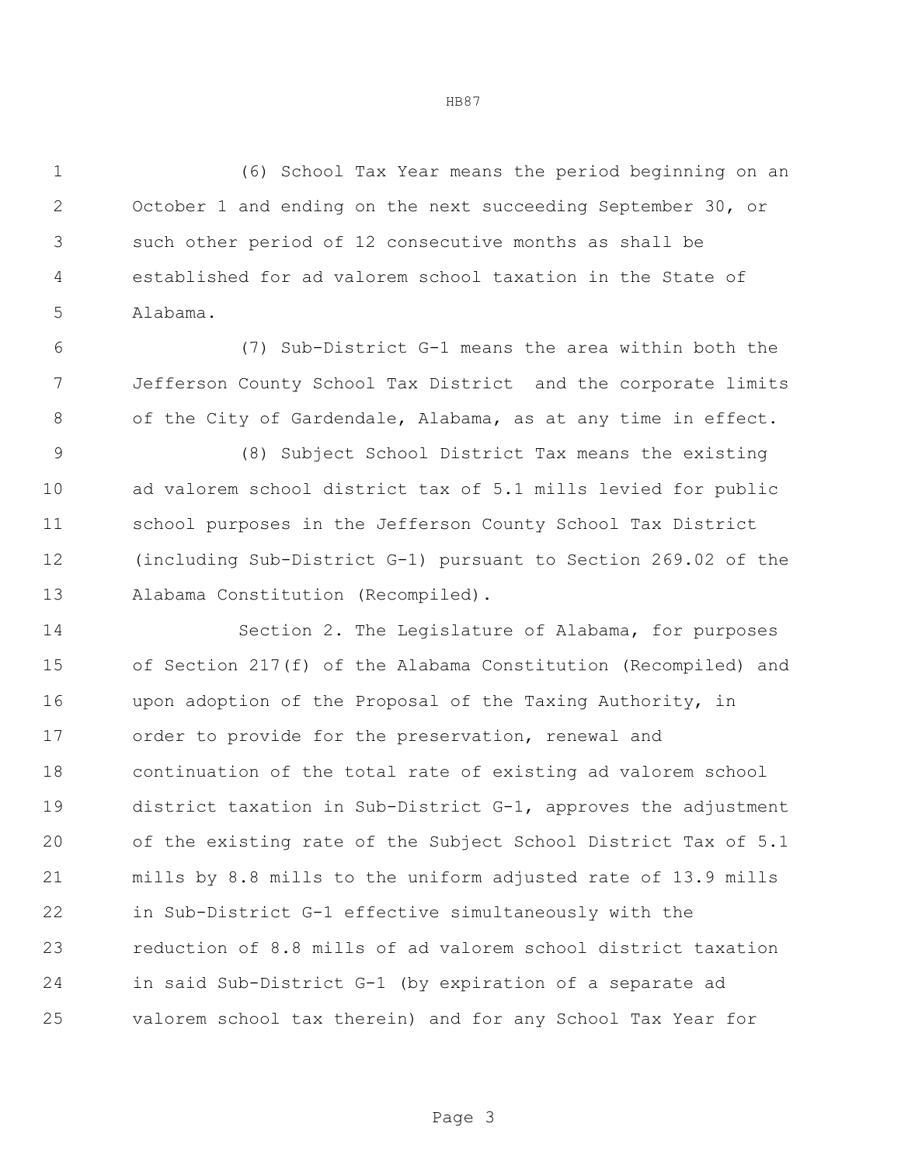(6) School Tax Year means the period beginning on an October 1 and ending on the next succeeding September 30, or such other period of 12 consecutive months as shall be established for ad valorem school taxation in the State of Alabama.

 (7) Sub-District G-1 means the area within both the Jefferson County School Tax District and the corporate limits of the City of Gardendale, Alabama, as at any time in effect.

 (8) Subject School District Tax means the existing ad valorem school district tax of 5.1 mills levied for public school purposes in the Jefferson County School Tax District (including Sub-District G-1) pursuant to Section 269.02 of the Alabama Constitution (Recompiled).

 Section 2. The Legislature of Alabama, for purposes of Section 217(f) of the Alabama Constitution (Recompiled) and upon adoption of the Proposal of the Taxing Authority, in order to provide for the preservation, renewal and continuation of the total rate of existing ad valorem school district taxation in Sub-District G-1, approves the adjustment of the existing rate of the Subject School District Tax of 5.1 mills by 8.8 mills to the uniform adjusted rate of 13.9 mills in Sub-District G-1 effective simultaneously with the reduction of 8.8 mills of ad valorem school district taxation in said Sub-District G-1 (by expiration of a separate ad valorem school tax therein) and for any School Tax Year for

HB87

Page 3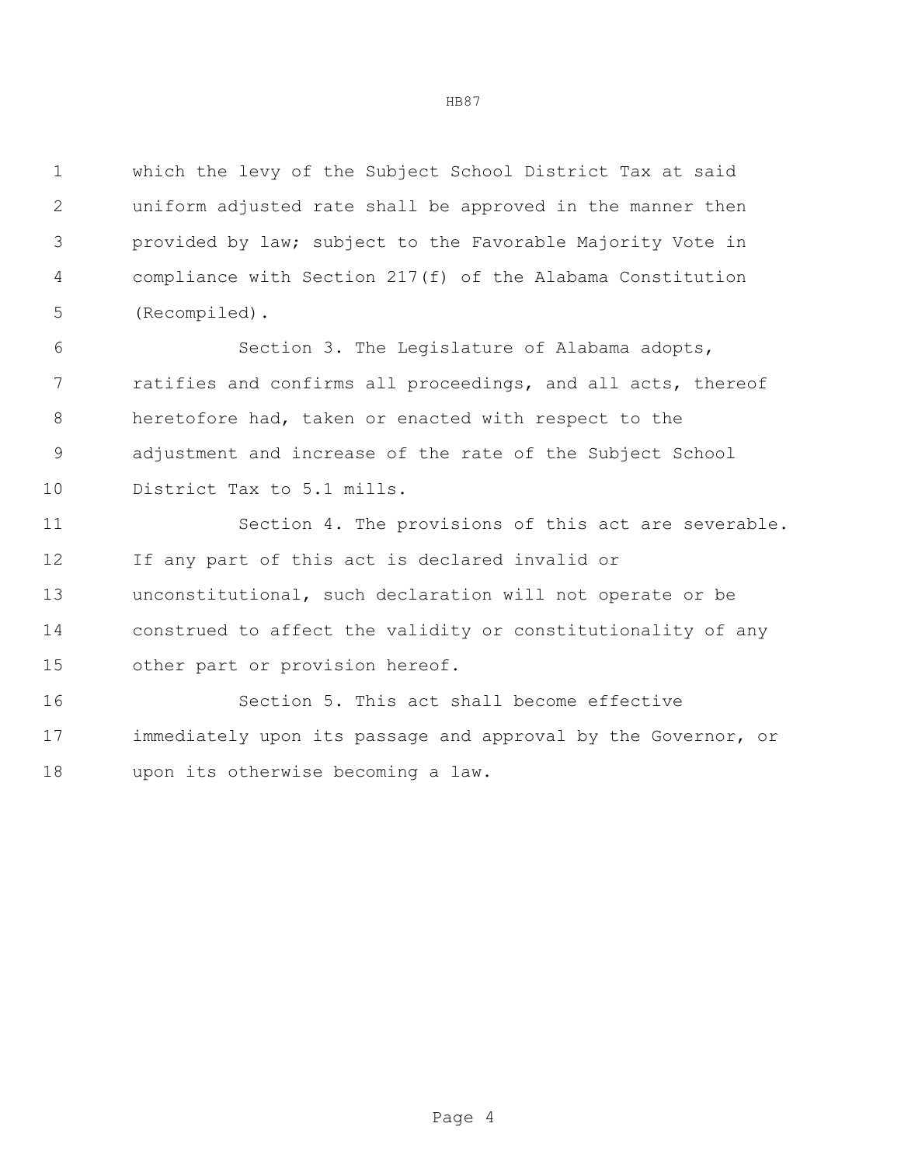which the levy of the Subject School District Tax at said uniform adjusted rate shall be approved in the manner then provided by law; subject to the Favorable Majority Vote in compliance with Section 217(f) of the Alabama Constitution (Recompiled).

 Section 3. The Legislature of Alabama adopts, ratifies and confirms all proceedings, and all acts, thereof heretofore had, taken or enacted with respect to the adjustment and increase of the rate of the Subject School 10 District Tax to 5.1 mills.

11 Section 4. The provisions of this act are severable. If any part of this act is declared invalid or unconstitutional, such declaration will not operate or be construed to affect the validity or constitutionality of any other part or provision hereof.

 Section 5. This act shall become effective immediately upon its passage and approval by the Governor, or upon its otherwise becoming a law.